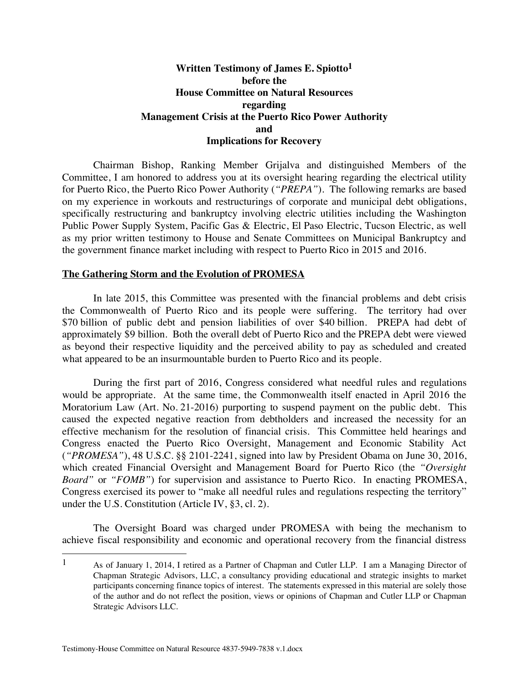## **Written Testimony of James E. Spiotto1 before the House Committee on Natural Resources regarding Management Crisis at the Puerto Rico Power Authority and Implications for Recovery**

Chairman Bishop, Ranking Member Grijalva and distinguished Members of the Committee, I am honored to address you at its oversight hearing regarding the electrical utility for Puerto Rico, the Puerto Rico Power Authority (*"PREPA"*). The following remarks are based on my experience in workouts and restructurings of corporate and municipal debt obligations, specifically restructuring and bankruptcy involving electric utilities including the Washington Public Power Supply System, Pacific Gas & Electric, El Paso Electric, Tucson Electric, as well as my prior written testimony to House and Senate Committees on Municipal Bankruptcy and the government finance market including with respect to Puerto Rico in 2015 and 2016.

#### **The Gathering Storm and the Evolution of PROMESA**

In late 2015, this Committee was presented with the financial problems and debt crisis the Commonwealth of Puerto Rico and its people were suffering. The territory had over \$70 billion of public debt and pension liabilities of over \$40 billion. PREPA had debt of approximately \$9 billion. Both the overall debt of Puerto Rico and the PREPA debt were viewed as beyond their respective liquidity and the perceived ability to pay as scheduled and created what appeared to be an insurmountable burden to Puerto Rico and its people.

During the first part of 2016, Congress considered what needful rules and regulations would be appropriate. At the same time, the Commonwealth itself enacted in April 2016 the Moratorium Law (Art. No. 21-2016) purporting to suspend payment on the public debt. This caused the expected negative reaction from debtholders and increased the necessity for an effective mechanism for the resolution of financial crisis. This Committee held hearings and Congress enacted the Puerto Rico Oversight, Management and Economic Stability Act (*"PROMESA"*), 48 U.S.C. §§ 2101-2241, signed into law by President Obama on June 30, 2016, which created Financial Oversight and Management Board for Puerto Rico (the *"Oversight Board"* or *"FOMB"*) for supervision and assistance to Puerto Rico. In enacting PROMESA, Congress exercised its power to "make all needful rules and regulations respecting the territory" under the U.S. Constitution (Article IV, §3, cl. 2).

The Oversight Board was charged under PROMESA with being the mechanism to achieve fiscal responsibility and economic and operational recovery from the financial distress

 <sup>1</sup> As of January 1, 2014, I retired as a Partner of Chapman and Cutler LLP. I am a Managing Director of Chapman Strategic Advisors, LLC, a consultancy providing educational and strategic insights to market participants concerning finance topics of interest. The statements expressed in this material are solely those of the author and do not reflect the position, views or opinions of Chapman and Cutler LLP or Chapman Strategic Advisors LLC.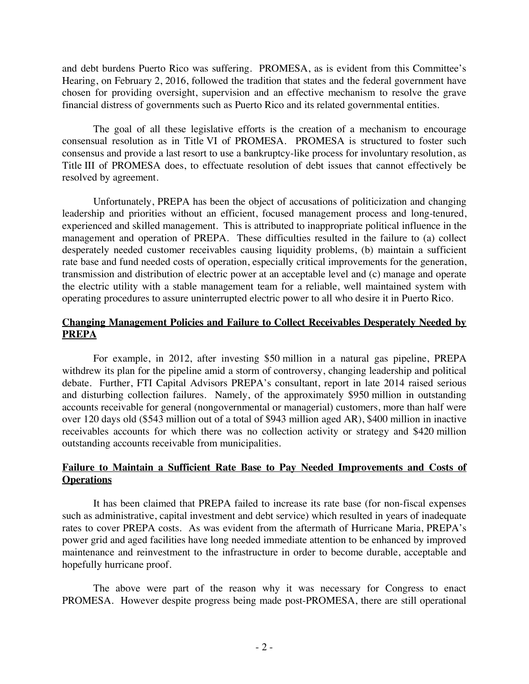and debt burdens Puerto Rico was suffering. PROMESA, as is evident from this Committee's Hearing, on February 2, 2016, followed the tradition that states and the federal government have chosen for providing oversight, supervision and an effective mechanism to resolve the grave financial distress of governments such as Puerto Rico and its related governmental entities.

The goal of all these legislative efforts is the creation of a mechanism to encourage consensual resolution as in Title VI of PROMESA. PROMESA is structured to foster such consensus and provide a last resort to use a bankruptcy-like process for involuntary resolution, as Title III of PROMESA does, to effectuate resolution of debt issues that cannot effectively be resolved by agreement.

Unfortunately, PREPA has been the object of accusations of politicization and changing leadership and priorities without an efficient, focused management process and long-tenured, experienced and skilled management. This is attributed to inappropriate political influence in the management and operation of PREPA. These difficulties resulted in the failure to (a) collect desperately needed customer receivables causing liquidity problems, (b) maintain a sufficient rate base and fund needed costs of operation, especially critical improvements for the generation, transmission and distribution of electric power at an acceptable level and (c) manage and operate the electric utility with a stable management team for a reliable, well maintained system with operating procedures to assure uninterrupted electric power to all who desire it in Puerto Rico.

# **Changing Management Policies and Failure to Collect Receivables Desperately Needed by PREPA**

For example, in 2012, after investing \$50 million in a natural gas pipeline, PREPA withdrew its plan for the pipeline amid a storm of controversy, changing leadership and political debate. Further, FTI Capital Advisors PREPA's consultant, report in late 2014 raised serious and disturbing collection failures. Namely, of the approximately \$950 million in outstanding accounts receivable for general (nongovernmental or managerial) customers, more than half were over 120 days old (\$543 million out of a total of \$943 million aged AR), \$400 million in inactive receivables accounts for which there was no collection activity or strategy and \$420 million outstanding accounts receivable from municipalities.

# **Failure to Maintain a Sufficient Rate Base to Pay Needed Improvements and Costs of Operations**

It has been claimed that PREPA failed to increase its rate base (for non-fiscal expenses such as administrative, capital investment and debt service) which resulted in years of inadequate rates to cover PREPA costs. As was evident from the aftermath of Hurricane Maria, PREPA's power grid and aged facilities have long needed immediate attention to be enhanced by improved maintenance and reinvestment to the infrastructure in order to become durable, acceptable and hopefully hurricane proof.

The above were part of the reason why it was necessary for Congress to enact PROMESA. However despite progress being made post-PROMESA, there are still operational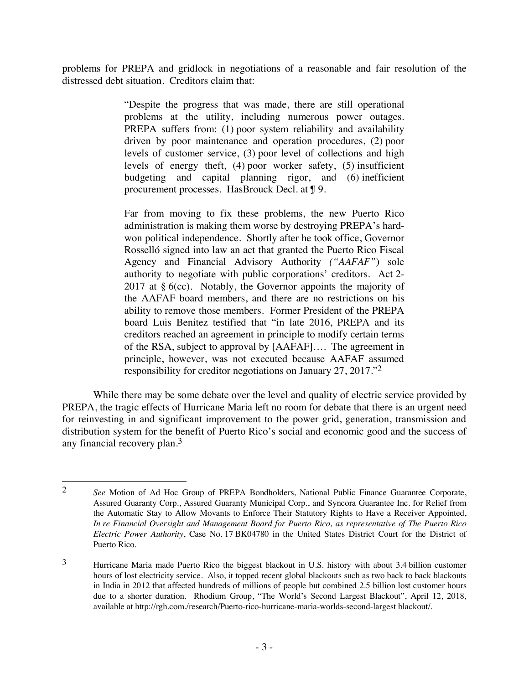problems for PREPA and gridlock in negotiations of a reasonable and fair resolution of the distressed debt situation. Creditors claim that:

> "Despite the progress that was made, there are still operational problems at the utility, including numerous power outages. PREPA suffers from: (1) poor system reliability and availability driven by poor maintenance and operation procedures, (2) poor levels of customer service, (3) poor level of collections and high levels of energy theft, (4) poor worker safety, (5) insufficient budgeting and capital planning rigor, and (6) inefficient procurement processes. HasBrouck Decl. at ¶ 9.

> Far from moving to fix these problems, the new Puerto Rico administration is making them worse by destroying PREPA's hardwon political independence. Shortly after he took office, Governor Rosselló signed into law an act that granted the Puerto Rico Fiscal Agency and Financial Advisory Authority *("AAFAF"*) sole authority to negotiate with public corporations' creditors. Act 2- 2017 at  $\S$  6(cc). Notably, the Governor appoints the majority of the AAFAF board members, and there are no restrictions on his ability to remove those members. Former President of the PREPA board Luis Benitez testified that "in late 2016, PREPA and its creditors reached an agreement in principle to modify certain terms of the RSA, subject to approval by [AAFAF]…. The agreement in principle, however, was not executed because AAFAF assumed responsibility for creditor negotiations on January 27, 2017."2

While there may be some debate over the level and quality of electric service provided by PREPA, the tragic effects of Hurricane Maria left no room for debate that there is an urgent need for reinvesting in and significant improvement to the power grid, generation, transmission and distribution system for the benefit of Puerto Rico's social and economic good and the success of any financial recovery plan. 3

 <sup>2</sup> *See* Motion of Ad Hoc Group of PREPA Bondholders, National Public Finance Guarantee Corporate, Assured Guaranty Corp., Assured Guaranty Municipal Corp., and Syncora Guarantee Inc. for Relief from the Automatic Stay to Allow Movants to Enforce Their Statutory Rights to Have a Receiver Appointed, *In re Financial Oversight and Management Board for Puerto Rico, as representative of The Puerto Rico Electric Power Authority*, Case No. 17 BK04780 in the United States District Court for the District of Puerto Rico.

<sup>3</sup> Hurricane Maria made Puerto Rico the biggest blackout in U.S. history with about 3.4 billion customer hours of lost electricity service. Also, it topped recent global blackouts such as two back to back blackouts in India in 2012 that affected hundreds of millions of people but combined 2.5 billion lost customer hours due to a shorter duration. Rhodium Group, "The World's Second Largest Blackout", April 12, 2018, available at http://rgh.com./research/Puerto-rico-hurricane-maria-worlds-second-largest blackout/.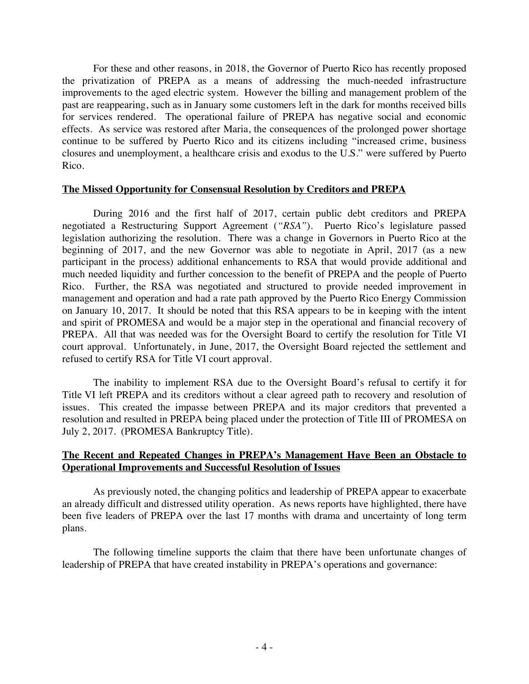For these and other reasons, in 2018, the Governor of Puerto Rico has recently proposed the privatization of PREPA as a means of addressing the much-needed infrastructure improvements to the aged electric system. However the billing and management problem of the past are reappearing, such as in January some customers left in the dark for months received bills for services rendered. The operational failure of PREPA has negative social and economic effects. As service was restored after Maria, the consequences of the prolonged power shortage continue to be suffered by Puerto Rico and its citizens including "increased crime, business closures and unemployment, a healthcare crisis and exodus to the U.S." were suffered by Puerto Rico.

### **The Missed Opportunity for Consensual Resolution by Creditors and PREPA**

During 2016 and the first half of 2017, certain public debt creditors and PREPA negotiated a Restructuring Support Agreement (*"RSA"*). Puerto Rico's legislature passed legislation authorizing the resolution. There was a change in Governors in Puerto Rico at the beginning of 2017, and the new Governor was able to negotiate in April, 2017 (as a new participant in the process) additional enhancements to RSA that would provide additional and much needed liquidity and further concession to the benefit of PREPA and the people of Puerto Rico. Further, the RSA was negotiated and structured to provide needed improvement in management and operation and had a rate path approved by the Puerto Rico Energy Commission on January 10, 2017. It should be noted that this RSA appears to be in keeping with the intent and spirit of PROMESA and would be a major step in the operational and financial recovery of PREPA. All that was needed was for the Oversight Board to certify the resolution for Title VI court approval. Unfortunately, in June, 2017, the Oversight Board rejected the settlement and refused to certify RSA for Title VI court approval.

The inability to implement RSA due to the Oversight Board's refusal to certify it for Title VI left PREPA and its creditors without a clear agreed path to recovery and resolution of issues. This created the impasse between PREPA and its major creditors that prevented a resolution and resulted in PREPA being placed under the protection of Title III of PROMESA on July 2, 2017. (PROMESA Bankruptcy Title).

## **The Recent and Repeated Changes in PREPA's Management Have Been an Obstacle to Operational Improvements and Successful Resolution of Issues**

As previously noted, the changing politics and leadership of PREPA appear to exacerbate an already difficult and distressed utility operation. As news reports have highlighted, there have been five leaders of PREPA over the last 17 months with drama and uncertainty of long term plans.

The following timeline supports the claim that there have been unfortunate changes of leadership of PREPA that have created instability in PREPA's operations and governance: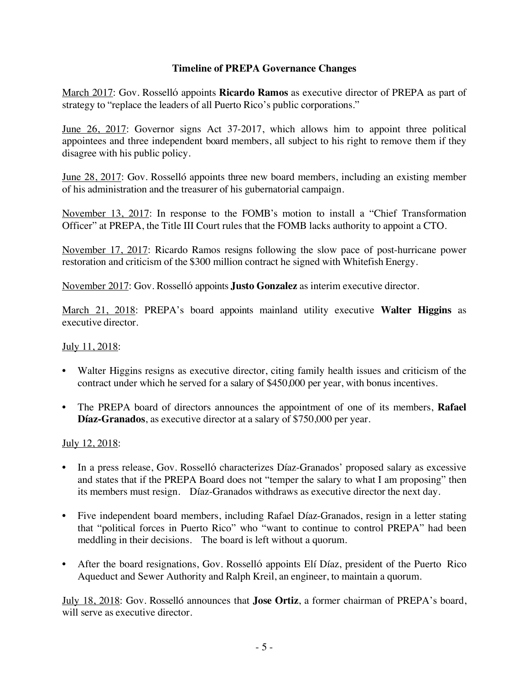# **Timeline of PREPA Governance Changes**

March 2017: Gov. Rossellό appoints **Ricardo Ramos** as executive director of PREPA as part of strategy to "replace the leaders of all Puerto Rico's public corporations."

June 26, 2017: Governor signs Act 37-2017, which allows him to appoint three political appointees and three independent board members, all subject to his right to remove them if they disagree with his public policy.

June 28, 2017: Gov. Rosselló appoints three new board members, including an existing member of his administration and the treasurer of his gubernatorial campaign.

November 13, 2017: In response to the FOMB's motion to install a "Chief Transformation Officer" at PREPA, the Title III Court rules that the FOMB lacks authority to appoint a CTO.

November 17, 2017: Ricardo Ramos resigns following the slow pace of post-hurricane power restoration and criticism of the \$300 million contract he signed with Whitefish Energy.

November 2017: Gov. Rossellό appoints **Justo Gonzalez** as interim executive director.

March 21, 2018: PREPA's board appoints mainland utility executive **Walter Higgins** as executive director.

## July 11, 2018:

- Walter Higgins resigns as executive director, citing family health issues and criticism of the contract under which he served for a salary of \$450,000 per year, with bonus incentives.
- The PREPA board of directors announces the appointment of one of its members, **Rafael Díaz-Granados**, as executive director at a salary of \$750,000 per year.

# July 12, 2018:

- In a press release, Gov. Rossellό characterizes Díaz-Granados' proposed salary as excessive and states that if the PREPA Board does not "temper the salary to what I am proposing" then its members must resign. Díaz-Granados withdraws as executive director the next day.
- Five independent board members, including Rafael Díaz-Granados, resign in a letter stating that "political forces in Puerto Rico" who "want to continue to control PREPA" had been meddling in their decisions. The board is left without a quorum.
- After the board resignations, Gov. Rosselló appoints Elí Díaz, president of the Puerto Rico Aqueduct and Sewer Authority and Ralph Kreil, an engineer, to maintain a quorum.

July 18, 2018: Gov. Rosselló announces that **Jose Ortiz**, a former chairman of PREPA's board, will serve as executive director.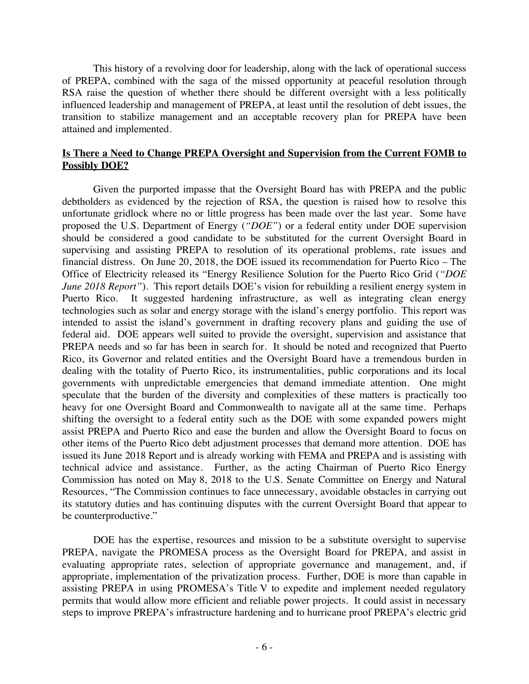This history of a revolving door for leadership, along with the lack of operational success of PREPA, combined with the saga of the missed opportunity at peaceful resolution through RSA raise the question of whether there should be different oversight with a less politically influenced leadership and management of PREPA, at least until the resolution of debt issues, the transition to stabilize management and an acceptable recovery plan for PREPA have been attained and implemented.

### **Is There a Need to Change PREPA Oversight and Supervision from the Current FOMB to Possibly DOE?**

Given the purported impasse that the Oversight Board has with PREPA and the public debtholders as evidenced by the rejection of RSA, the question is raised how to resolve this unfortunate gridlock where no or little progress has been made over the last year. Some have proposed the U.S. Department of Energy (*"DOE"*) or a federal entity under DOE supervision should be considered a good candidate to be substituted for the current Oversight Board in supervising and assisting PREPA to resolution of its operational problems, rate issues and financial distress. On June 20, 2018, the DOE issued its recommendation for Puerto Rico – The Office of Electricity released its "Energy Resilience Solution for the Puerto Rico Grid (*"DOE June 2018 Report*"). This report details DOE's vision for rebuilding a resilient energy system in Puerto Rico. It suggested hardening infrastructure, as well as integrating clean energy technologies such as solar and energy storage with the island's energy portfolio. This report was intended to assist the island's government in drafting recovery plans and guiding the use of federal aid. DOE appears well suited to provide the oversight, supervision and assistance that PREPA needs and so far has been in search for. It should be noted and recognized that Puerto Rico, its Governor and related entities and the Oversight Board have a tremendous burden in dealing with the totality of Puerto Rico, its instrumentalities, public corporations and its local governments with unpredictable emergencies that demand immediate attention. One might speculate that the burden of the diversity and complexities of these matters is practically too heavy for one Oversight Board and Commonwealth to navigate all at the same time. Perhaps shifting the oversight to a federal entity such as the DOE with some expanded powers might assist PREPA and Puerto Rico and ease the burden and allow the Oversight Board to focus on other items of the Puerto Rico debt adjustment processes that demand more attention. DOE has issued its June 2018 Report and is already working with FEMA and PREPA and is assisting with technical advice and assistance. Further, as the acting Chairman of Puerto Rico Energy Commission has noted on May 8, 2018 to the U.S. Senate Committee on Energy and Natural Resources, "The Commission continues to face unnecessary, avoidable obstacles in carrying out its statutory duties and has continuing disputes with the current Oversight Board that appear to be counterproductive."

DOE has the expertise, resources and mission to be a substitute oversight to supervise PREPA, navigate the PROMESA process as the Oversight Board for PREPA, and assist in evaluating appropriate rates, selection of appropriate governance and management, and, if appropriate, implementation of the privatization process. Further, DOE is more than capable in assisting PREPA in using PROMESA's Title V to expedite and implement needed regulatory permits that would allow more efficient and reliable power projects. It could assist in necessary steps to improve PREPA's infrastructure hardening and to hurricane proof PREPA's electric grid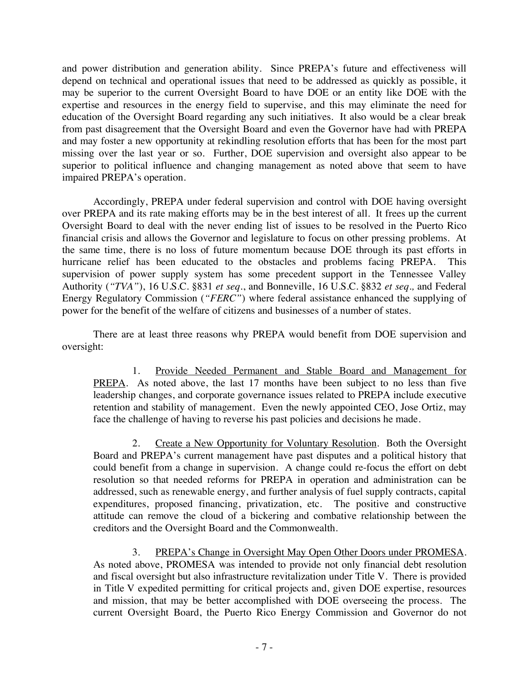and power distribution and generation ability. Since PREPA's future and effectiveness will depend on technical and operational issues that need to be addressed as quickly as possible, it may be superior to the current Oversight Board to have DOE or an entity like DOE with the expertise and resources in the energy field to supervise, and this may eliminate the need for education of the Oversight Board regarding any such initiatives. It also would be a clear break from past disagreement that the Oversight Board and even the Governor have had with PREPA and may foster a new opportunity at rekindling resolution efforts that has been for the most part missing over the last year or so. Further, DOE supervision and oversight also appear to be superior to political influence and changing management as noted above that seem to have impaired PREPA's operation.

Accordingly, PREPA under federal supervision and control with DOE having oversight over PREPA and its rate making efforts may be in the best interest of all. It frees up the current Oversight Board to deal with the never ending list of issues to be resolved in the Puerto Rico financial crisis and allows the Governor and legislature to focus on other pressing problems. At the same time, there is no loss of future momentum because DOE through its past efforts in hurricane relief has been educated to the obstacles and problems facing PREPA. This supervision of power supply system has some precedent support in the Tennessee Valley Authority (*"TVA"*), 16 U.S.C. §831 *et seq.*, and Bonneville, 16 U.S.C. §832 *et seq*.*,* and Federal Energy Regulatory Commission (*"FERC"*) where federal assistance enhanced the supplying of power for the benefit of the welfare of citizens and businesses of a number of states.

There are at least three reasons why PREPA would benefit from DOE supervision and oversight:

1. Provide Needed Permanent and Stable Board and Management for PREPA. As noted above, the last 17 months have been subject to no less than five leadership changes, and corporate governance issues related to PREPA include executive retention and stability of management. Even the newly appointed CEO, Jose Ortiz, may face the challenge of having to reverse his past policies and decisions he made.

2. Create a New Opportunity for Voluntary Resolution. Both the Oversight Board and PREPA's current management have past disputes and a political history that could benefit from a change in supervision. A change could re-focus the effort on debt resolution so that needed reforms for PREPA in operation and administration can be addressed, such as renewable energy, and further analysis of fuel supply contracts, capital expenditures, proposed financing, privatization, etc. The positive and constructive attitude can remove the cloud of a bickering and combative relationship between the creditors and the Oversight Board and the Commonwealth.

3. PREPA's Change in Oversight May Open Other Doors under PROMESA. As noted above, PROMESA was intended to provide not only financial debt resolution and fiscal oversight but also infrastructure revitalization under Title V. There is provided in Title V expedited permitting for critical projects and, given DOE expertise, resources and mission, that may be better accomplished with DOE overseeing the process. The current Oversight Board, the Puerto Rico Energy Commission and Governor do not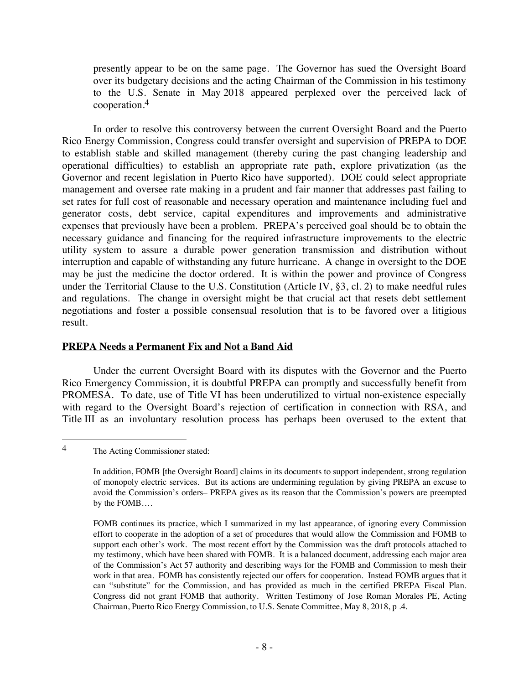presently appear to be on the same page. The Governor has sued the Oversight Board over its budgetary decisions and the acting Chairman of the Commission in his testimony to the U.S. Senate in May 2018 appeared perplexed over the perceived lack of cooperation.4

In order to resolve this controversy between the current Oversight Board and the Puerto Rico Energy Commission, Congress could transfer oversight and supervision of PREPA to DOE to establish stable and skilled management (thereby curing the past changing leadership and operational difficulties) to establish an appropriate rate path, explore privatization (as the Governor and recent legislation in Puerto Rico have supported). DOE could select appropriate management and oversee rate making in a prudent and fair manner that addresses past failing to set rates for full cost of reasonable and necessary operation and maintenance including fuel and generator costs, debt service, capital expenditures and improvements and administrative expenses that previously have been a problem. PREPA's perceived goal should be to obtain the necessary guidance and financing for the required infrastructure improvements to the electric utility system to assure a durable power generation transmission and distribution without interruption and capable of withstanding any future hurricane. A change in oversight to the DOE may be just the medicine the doctor ordered. It is within the power and province of Congress under the Territorial Clause to the U.S. Constitution (Article IV, §3, cl. 2) to make needful rules and regulations. The change in oversight might be that crucial act that resets debt settlement negotiations and foster a possible consensual resolution that is to be favored over a litigious result.

### **PREPA Needs a Permanent Fix and Not a Band Aid**

Under the current Oversight Board with its disputes with the Governor and the Puerto Rico Emergency Commission, it is doubtful PREPA can promptly and successfully benefit from PROMESA. To date, use of Title VI has been underutilized to virtual non-existence especially with regard to the Oversight Board's rejection of certification in connection with RSA, and Title III as an involuntary resolution process has perhaps been overused to the extent that

 <sup>4</sup> The Acting Commissioner stated:

In addition, FOMB [the Oversight Board] claims in its documents to support independent, strong regulation of monopoly electric services. But its actions are undermining regulation by giving PREPA an excuse to avoid the Commission's orders– PREPA gives as its reason that the Commission's powers are preempted by the FOMB….

FOMB continues its practice, which I summarized in my last appearance, of ignoring every Commission effort to cooperate in the adoption of a set of procedures that would allow the Commission and FOMB to support each other's work. The most recent effort by the Commission was the draft protocols attached to my testimony, which have been shared with FOMB. It is a balanced document, addressing each major area of the Commission's Act 57 authority and describing ways for the FOMB and Commission to mesh their work in that area. FOMB has consistently rejected our offers for cooperation. Instead FOMB argues that it can "substitute" for the Commission, and has provided as much in the certified PREPA Fiscal Plan. Congress did not grant FOMB that authority. Written Testimony of Jose Roman Morales PE, Acting Chairman, Puerto Rico Energy Commission, to U.S. Senate Committee, May 8, 2018, p .4.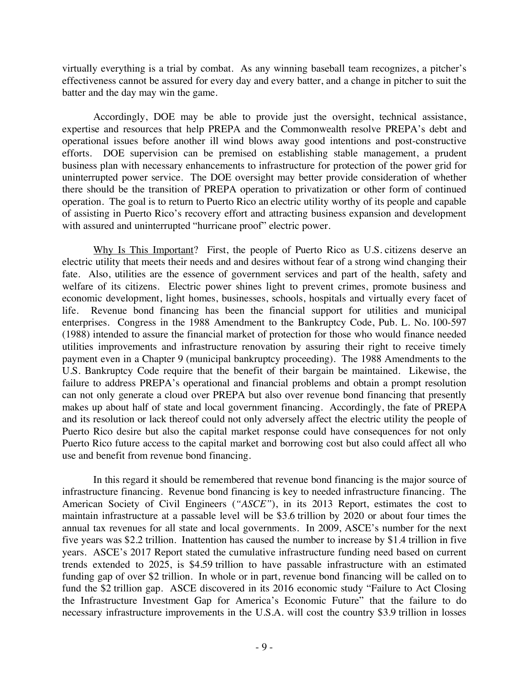virtually everything is a trial by combat. As any winning baseball team recognizes, a pitcher's effectiveness cannot be assured for every day and every batter, and a change in pitcher to suit the batter and the day may win the game.

Accordingly, DOE may be able to provide just the oversight, technical assistance, expertise and resources that help PREPA and the Commonwealth resolve PREPA's debt and operational issues before another ill wind blows away good intentions and post-constructive efforts. DOE supervision can be premised on establishing stable management, a prudent business plan with necessary enhancements to infrastructure for protection of the power grid for uninterrupted power service. The DOE oversight may better provide consideration of whether there should be the transition of PREPA operation to privatization or other form of continued operation. The goal is to return to Puerto Rico an electric utility worthy of its people and capable of assisting in Puerto Rico's recovery effort and attracting business expansion and development with assured and uninterrupted "hurricane proof" electric power.

Why Is This Important? First, the people of Puerto Rico as U.S. citizens deserve an electric utility that meets their needs and and desires without fear of a strong wind changing their fate. Also, utilities are the essence of government services and part of the health, safety and welfare of its citizens. Electric power shines light to prevent crimes, promote business and economic development, light homes, businesses, schools, hospitals and virtually every facet of life. Revenue bond financing has been the financial support for utilities and municipal enterprises. Congress in the 1988 Amendment to the Bankruptcy Code, Pub. L. No. 100-597 (1988) intended to assure the financial market of protection for those who would finance needed utilities improvements and infrastructure renovation by assuring their right to receive timely payment even in a Chapter 9 (municipal bankruptcy proceeding). The 1988 Amendments to the U.S. Bankruptcy Code require that the benefit of their bargain be maintained. Likewise, the failure to address PREPA's operational and financial problems and obtain a prompt resolution can not only generate a cloud over PREPA but also over revenue bond financing that presently makes up about half of state and local government financing. Accordingly, the fate of PREPA and its resolution or lack thereof could not only adversely affect the electric utility the people of Puerto Rico desire but also the capital market response could have consequences for not only Puerto Rico future access to the capital market and borrowing cost but also could affect all who use and benefit from revenue bond financing.

In this regard it should be remembered that revenue bond financing is the major source of infrastructure financing. Revenue bond financing is key to needed infrastructure financing. The American Society of Civil Engineers (*"ASCE"*), in its 2013 Report, estimates the cost to maintain infrastructure at a passable level will be \$3.6 trillion by 2020 or about four times the annual tax revenues for all state and local governments. In 2009, ASCE's number for the next five years was \$2.2 trillion. Inattention has caused the number to increase by \$1.4 trillion in five years. ASCE's 2017 Report stated the cumulative infrastructure funding need based on current trends extended to 2025, is \$4.59 trillion to have passable infrastructure with an estimated funding gap of over \$2 trillion. In whole or in part, revenue bond financing will be called on to fund the \$2 trillion gap. ASCE discovered in its 2016 economic study "Failure to Act Closing the Infrastructure Investment Gap for America's Economic Future" that the failure to do necessary infrastructure improvements in the U.S.A. will cost the country \$3.9 trillion in losses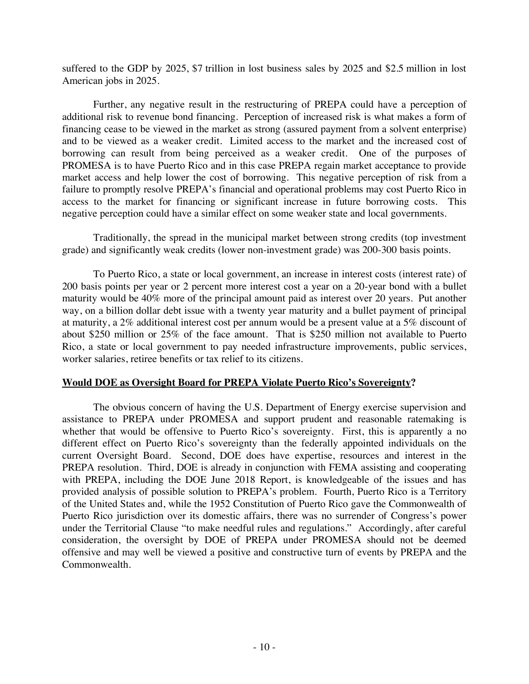suffered to the GDP by 2025, \$7 trillion in lost business sales by 2025 and \$2.5 million in lost American jobs in 2025.

Further, any negative result in the restructuring of PREPA could have a perception of additional risk to revenue bond financing. Perception of increased risk is what makes a form of financing cease to be viewed in the market as strong (assured payment from a solvent enterprise) and to be viewed as a weaker credit. Limited access to the market and the increased cost of borrowing can result from being perceived as a weaker credit. One of the purposes of PROMESA is to have Puerto Rico and in this case PREPA regain market acceptance to provide market access and help lower the cost of borrowing. This negative perception of risk from a failure to promptly resolve PREPA's financial and operational problems may cost Puerto Rico in access to the market for financing or significant increase in future borrowing costs. This negative perception could have a similar effect on some weaker state and local governments.

Traditionally, the spread in the municipal market between strong credits (top investment grade) and significantly weak credits (lower non-investment grade) was 200-300 basis points.

To Puerto Rico, a state or local government, an increase in interest costs (interest rate) of 200 basis points per year or 2 percent more interest cost a year on a 20-year bond with a bullet maturity would be 40% more of the principal amount paid as interest over 20 years. Put another way, on a billion dollar debt issue with a twenty year maturity and a bullet payment of principal at maturity, a 2% additional interest cost per annum would be a present value at a 5% discount of about \$250 million or 25% of the face amount. That is \$250 million not available to Puerto Rico, a state or local government to pay needed infrastructure improvements, public services, worker salaries, retiree benefits or tax relief to its citizens.

### **Would DOE as Oversight Board for PREPA Violate Puerto Rico's Sovereignty?**

The obvious concern of having the U.S. Department of Energy exercise supervision and assistance to PREPA under PROMESA and support prudent and reasonable ratemaking is whether that would be offensive to Puerto Rico's sovereignty. First, this is apparently a no different effect on Puerto Rico's sovereignty than the federally appointed individuals on the current Oversight Board. Second, DOE does have expertise, resources and interest in the PREPA resolution. Third, DOE is already in conjunction with FEMA assisting and cooperating with PREPA, including the DOE June 2018 Report, is knowledgeable of the issues and has provided analysis of possible solution to PREPA's problem. Fourth, Puerto Rico is a Territory of the United States and, while the 1952 Constitution of Puerto Rico gave the Commonwealth of Puerto Rico jurisdiction over its domestic affairs, there was no surrender of Congress's power under the Territorial Clause "to make needful rules and regulations." Accordingly, after careful consideration, the oversight by DOE of PREPA under PROMESA should not be deemed offensive and may well be viewed a positive and constructive turn of events by PREPA and the Commonwealth.